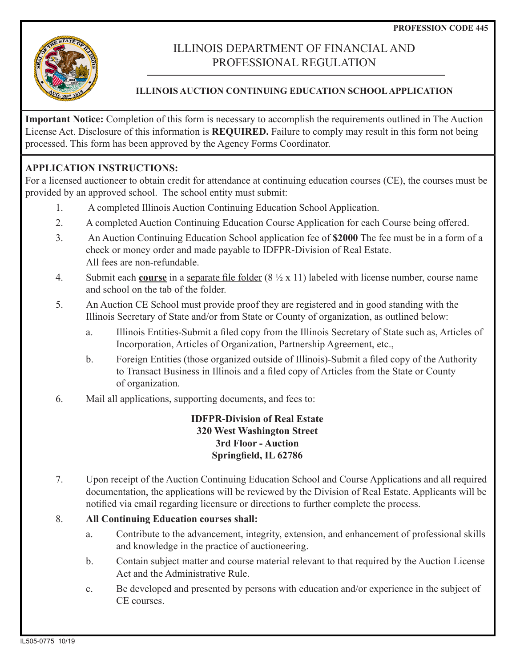

# ILLINOIS DEPARTMENT OF FINANCIAL AND PROFESSIONAL REGULATION

# **ILLINOIS AUCTION CONTINUING EDUCATION SCHOOL APPLICATION**

**Important Notice:** Completion of this form is necessary to accomplish the requirements outlined in The Auction License Act. Disclosure of this information is **REQUIRED.** Failure to comply may result in this form not being processed. This form has been approved by the Agency Forms Coordinator.

# **APPLICATION INSTRUCTIONS:**

For a licensed auctioneer to obtain credit for attendance at continuing education courses (CE), the courses must be provided by an approved school. The school entity must submit:

- 1. A completed Illinois Auction Continuing Education School Application.
- 2. A completed Auction Continuing Education Course Application for each Course being offered.
- 3. An Auction Continuing Education School application fee of **\$2000** The fee must be in a form of a check or money order and made payable to IDFPR-Division of Real Estate. All fees are non-refundable.
- 4. Submit each **course** in a separate file folder (8 ½ x 11) labeled with license number, course name and school on the tab of the folder.
- 5. An Auction CE School must provide proof they are registered and in good standing with the Illinois Secretary of State and/or from State or County of organization, as outlined below:
	- a. Illinois Entities-Submit a filed copy from the Illinois Secretary of State such as, Articles of Incorporation, Articles of Organization, Partnership Agreement, etc.,
	- b. Foreign Entities (those organized outside of Illinois)-Submit a filed copy of the Authority to Transact Business in Illinois and a filed copy of Articles from the State or County of organization.
- 6. Mail all applications, supporting documents, and fees to:

# **IDFPR-Division of Real Estate 320 West Washington Street 3rd Floor - Auction Springfield, IL 62786**

7. Upon receipt of the Auction Continuing Education School and Course Applications and all required documentation, the applications will be reviewed by the Division of Real Estate. Applicants will be notified via email regarding licensure or directions to further complete the process.

### 8. **All Continuing Education courses shall:**

- a. Contribute to the advancement, integrity, extension, and enhancement of professional skills and knowledge in the practice of auctioneering.
- b. Contain subject matter and course material relevant to that required by the Auction License Act and the Administrative Rule.
- c. Be developed and presented by persons with education and/or experience in the subject of CE courses.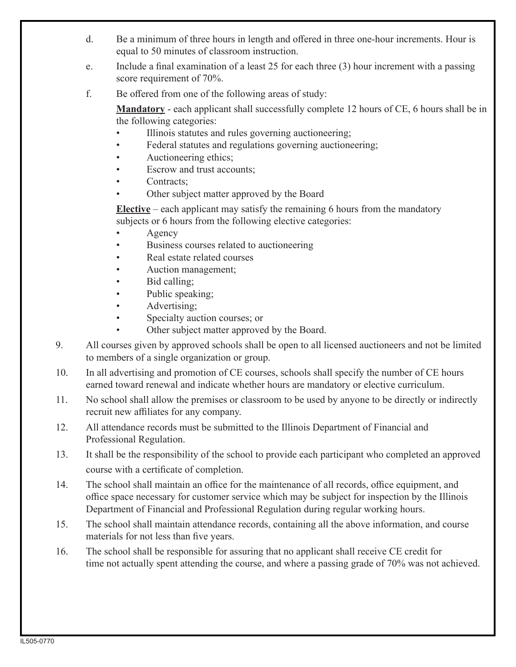- d. Be a minimum of three hours in length and offered in three one-hour increments. Hour is equal to 50 minutes of classroom instruction.
- e. Include a final examination of a least 25 for each three (3) hour increment with a passing score requirement of 70%.
- f. Be offered from one of the following areas of study:

 **Mandatory** - each applicant shall successfully complete 12 hours of CE, 6 hours shall be in the following categories:

- Illinois statutes and rules governing auctioneering;
- Federal statutes and regulations governing auctioneering;
- Auctioneering ethics;
- Escrow and trust accounts:
- Contracts;
- Other subject matter approved by the Board

 **Elective** – each applicant may satisfy the remaining 6 hours from the mandatory subjects or 6 hours from the following elective categories:

- **Agency**
- Business courses related to auctioneering
- Real estate related courses
- Auction management;
- Bid calling;
- Public speaking;
- Advertising;
- Specialty auction courses; or
- Other subject matter approved by the Board.
- 9. All courses given by approved schools shall be open to all licensed auctioneers and not be limited to members of a single organization or group.
- 10. In all advertising and promotion of CE courses, schools shall specify the number of CE hours earned toward renewal and indicate whether hours are mandatory or elective curriculum.
- 11. No school shall allow the premises or classroom to be used by anyone to be directly or indirectly recruit new affiliates for any company.
- 12. All attendance records must be submitted to the Illinois Department of Financial and Professional Regulation.
- 13. It shall be the responsibility of the school to provide each participant who completed an approved course with a certificate of completion.
- 14. The school shall maintain an office for the maintenance of all records, office equipment, and office space necessary for customer service which may be subject for inspection by the Illinois Department of Financial and Professional Regulation during regular working hours.
- 15. The school shall maintain attendance records, containing all the above information, and course materials for not less than five years.
- 16. The school shall be responsible for assuring that no applicant shall receive CE credit for time not actually spent attending the course, and where a passing grade of 70% was not achieved.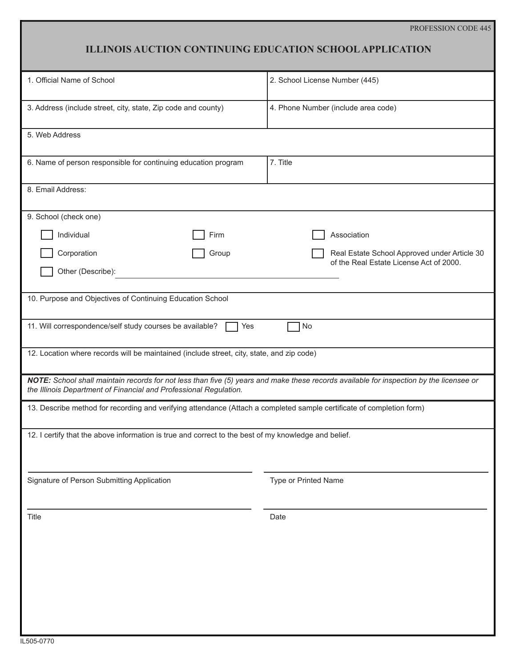#### PROFESSION CODE 445

# **ILLINOIS AUCTION CONTINUING EDUCATION SCHOOL APPLICATION**

| 1. Official Name of School                                                                                                                                                                                   | 2. School License Number (445)                                                          |
|--------------------------------------------------------------------------------------------------------------------------------------------------------------------------------------------------------------|-----------------------------------------------------------------------------------------|
| 3. Address (include street, city, state, Zip code and county)                                                                                                                                                | 4. Phone Number (include area code)                                                     |
| 5. Web Address                                                                                                                                                                                               |                                                                                         |
| 6. Name of person responsible for continuing education program                                                                                                                                               | 7. Title                                                                                |
| 8. Email Address:                                                                                                                                                                                            |                                                                                         |
| 9. School (check one)                                                                                                                                                                                        |                                                                                         |
| Individual<br>Firm                                                                                                                                                                                           | Association                                                                             |
| Corporation<br>Group                                                                                                                                                                                         | Real Estate School Approved under Article 30<br>of the Real Estate License Act of 2000. |
| Other (Describe):                                                                                                                                                                                            |                                                                                         |
| 10. Purpose and Objectives of Continuing Education School                                                                                                                                                    |                                                                                         |
| 11. Will correspondence/self study courses be available?<br>No<br>Yes                                                                                                                                        |                                                                                         |
| 12. Location where records will be maintained (include street, city, state, and zip code)                                                                                                                    |                                                                                         |
| NOTE: School shall maintain records for not less than five (5) years and make these records available for inspection by the licensee or<br>the Illinois Department of Financial and Professional Regulation. |                                                                                         |
| 13. Describe method for recording and verifying attendance (Attach a completed sample certificate of completion form)                                                                                        |                                                                                         |
| 12. I certify that the above information is true and correct to the best of my knowledge and belief.                                                                                                         |                                                                                         |
|                                                                                                                                                                                                              |                                                                                         |
| Signature of Person Submitting Application                                                                                                                                                                   | Type or Printed Name                                                                    |
| Title                                                                                                                                                                                                        | Date                                                                                    |
|                                                                                                                                                                                                              |                                                                                         |
|                                                                                                                                                                                                              |                                                                                         |
|                                                                                                                                                                                                              |                                                                                         |
|                                                                                                                                                                                                              |                                                                                         |